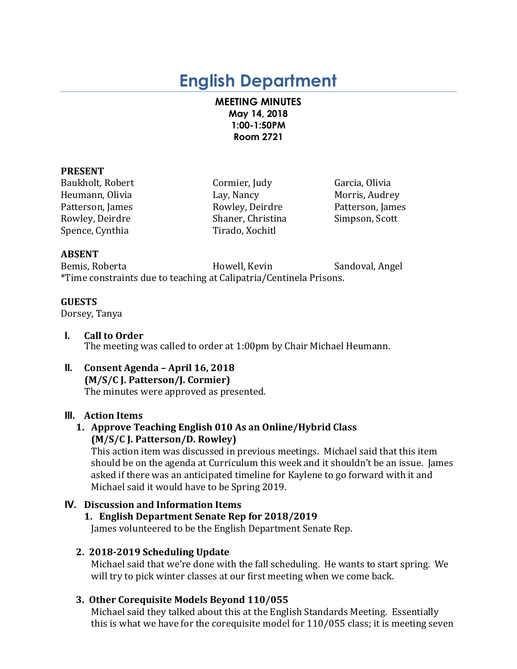# **English Department**

#### **MEETING MINUTES May 14, 2018 1:00-1:50PM Room 2721**

#### **PRESENT**

Baukholt, Robert **Cormier**, Judy Garcia, Olivia Heumann, Olivia **Lay, Nancy** Lay, Nancy Morris, Audrey Patterson, James **Rowley, Deirdre** Patterson, James Rowley, Deirdre Shaner, Christina Simpson, Scott Spence, Cynthia Tirado, Xochitl

## **ABSENT**

Bemis, Roberta **Markoving Howell, Kevin** Sandoval, Angel \*Time constraints due to teaching at Calipatria/Centinela Prisons.

## **GUESTS**

Dorsey, Tanya

- **I. Call to Order** The meeting was called to order at 1:00pm by Chair Michael Heumann.
- **II. Consent Agenda – April 16, 2018 (M/S/C J. Patterson/J. Cormier)** The minutes were approved as presented.

# **III. Action Items**

# **1. Approve Teaching English 010 As an Online/Hybrid Class (M/S/C J. Patterson/D. Rowley)**

This action item was discussed in previous meetings. Michael said that this item should be on the agenda at Curriculum this week and it shouldn't be an issue. James asked if there was an anticipated timeline for Kaylene to go forward with it and Michael said it would have to be Spring 2019.

# **IV. Discussion and Information Items**

# **1. English Department Senate Rep for 2018/2019**

James volunteered to be the English Department Senate Rep.

# **2. 2018-2019 Scheduling Update**

Michael said that we're done with the fall scheduling. He wants to start spring. We will try to pick winter classes at our first meeting when we come back.

# **3. Other Corequisite Models Beyond 110/055**

Michael said they talked about this at the English Standards Meeting. Essentially this is what we have for the corequisite model for  $110/055$  class; it is meeting seven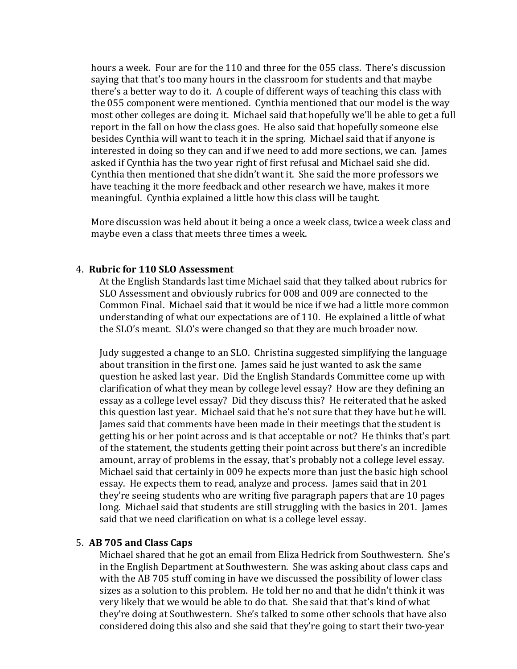hours a week. Four are for the 110 and three for the 055 class. There's discussion saying that that's too many hours in the classroom for students and that maybe there's a better way to do it. A couple of different ways of teaching this class with the 055 component were mentioned. Cynthia mentioned that our model is the way most other colleges are doing it. Michael said that hopefully we'll be able to get a full report in the fall on how the class goes. He also said that hopefully someone else besides Cynthia will want to teach it in the spring. Michael said that if anyone is interested in doing so they can and if we need to add more sections, we can. James asked if Cynthia has the two year right of first refusal and Michael said she did. Cynthia then mentioned that she didn't want it. She said the more professors we have teaching it the more feedback and other research we have, makes it more meaningful. Cynthia explained a little how this class will be taught.

More discussion was held about it being a once a week class, twice a week class and maybe even a class that meets three times a week.

#### 4. **Rubric for 110 SLO Assessment**

At the English Standards last time Michael said that they talked about rubrics for SLO Assessment and obviously rubrics for 008 and 009 are connected to the Common Final. Michael said that it would be nice if we had a little more common understanding of what our expectations are of  $110$ . He explained a little of what the SLO's meant. SLO's were changed so that they are much broader now.

Judy suggested a change to an SLO. Christina suggested simplifying the language about transition in the first one. James said he just wanted to ask the same question he asked last year. Did the English Standards Committee come up with clarification of what they mean by college level essay? How are they defining an essay as a college level essay? Did they discuss this? He reiterated that he asked this question last year. Michael said that he's not sure that they have but he will. James said that comments have been made in their meetings that the student is getting his or her point across and is that acceptable or not? He thinks that's part of the statement, the students getting their point across but there's an incredible amount, array of problems in the essay, that's probably not a college level essay. Michael said that certainly in 009 he expects more than just the basic high school essay. He expects them to read, analyze and process. James said that in 201 they're seeing students who are writing five paragraph papers that are 10 pages long. Michael said that students are still struggling with the basics in 201. James said that we need clarification on what is a college level essay.

#### 5. **AB 705 and Class Caps**

Michael shared that he got an email from Eliza Hedrick from Southwestern. She's in the English Department at Southwestern. She was asking about class caps and with the AB 705 stuff coming in have we discussed the possibility of lower class sizes as a solution to this problem. He told her no and that he didn't think it was very likely that we would be able to do that. She said that that's kind of what they're doing at Southwestern. She's talked to some other schools that have also considered doing this also and she said that they're going to start their two-year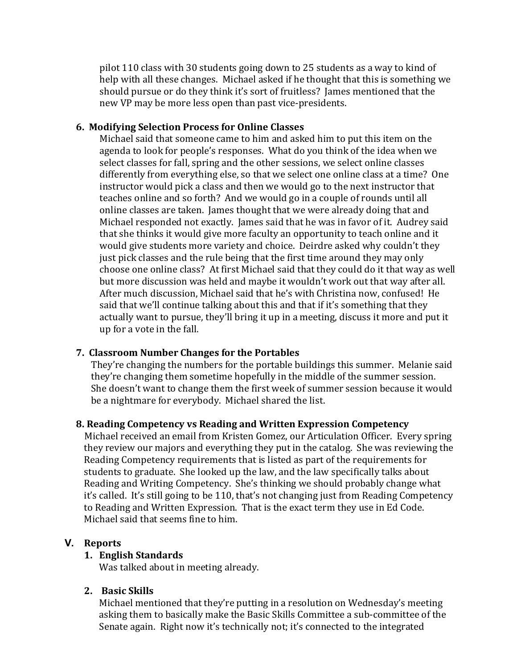pilot 110 class with 30 students going down to 25 students as a way to kind of help with all these changes. Michael asked if he thought that this is something we should pursue or do they think it's sort of fruitless? James mentioned that the new VP may be more less open than past vice-presidents.

#### **6. Modifying Selection Process for Online Classes**

Michael said that someone came to him and asked him to put this item on the agenda to look for people's responses. What do you think of the idea when we select classes for fall, spring and the other sessions, we select online classes differently from everything else, so that we select one online class at a time? One instructor would pick a class and then we would go to the next instructor that teaches online and so forth? And we would go in a couple of rounds until all online classes are taken. James thought that we were already doing that and Michael responded not exactly. James said that he was in favor of it. Audrey said that she thinks it would give more faculty an opportunity to teach online and it would give students more variety and choice. Deirdre asked why couldn't they just pick classes and the rule being that the first time around they may only choose one online class? At first Michael said that they could do it that way as well but more discussion was held and maybe it wouldn't work out that way after all. After much discussion, Michael said that he's with Christina now, confused! He said that we'll continue talking about this and that if it's something that they actually want to pursue, they'll bring it up in a meeting, discuss it more and put it up for a vote in the fall.

#### **7. Classroom Number Changes for the Portables**

They're changing the numbers for the portable buildings this summer. Melanie said they're changing them sometime hopefully in the middle of the summer session. She doesn't want to change them the first week of summer session because it would be a nightmare for everybody. Michael shared the list.

#### **8. Reading Competency vs Reading and Written Expression Competency**

Michael received an email from Kristen Gomez, our Articulation Officer. Every spring they review our majors and everything they put in the catalog. She was reviewing the Reading Competency requirements that is listed as part of the requirements for students to graduate. She looked up the law, and the law specifically talks about Reading and Writing Competency. She's thinking we should probably change what it's called. It's still going to be 110, that's not changing just from Reading Competency to Reading and Written Expression. That is the exact term they use in Ed Code. Michael said that seems fine to him.

#### **V. Reports**

#### **1. English Standards**

Was talked about in meeting already.

#### **2. Basic Skills**

Michael mentioned that they're putting in a resolution on Wednesday's meeting asking them to basically make the Basic Skills Committee a sub-committee of the Senate again. Right now it's technically not; it's connected to the integrated